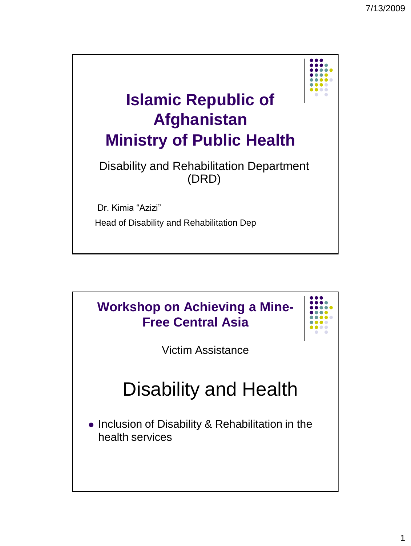

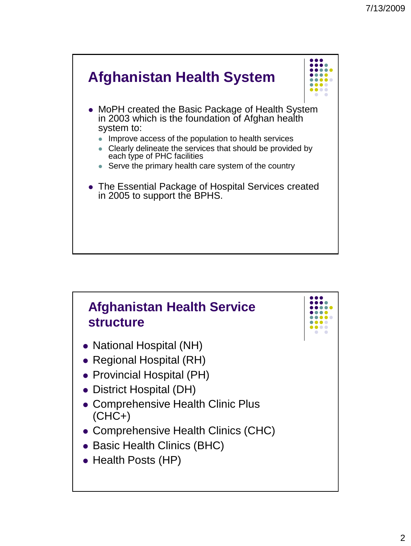

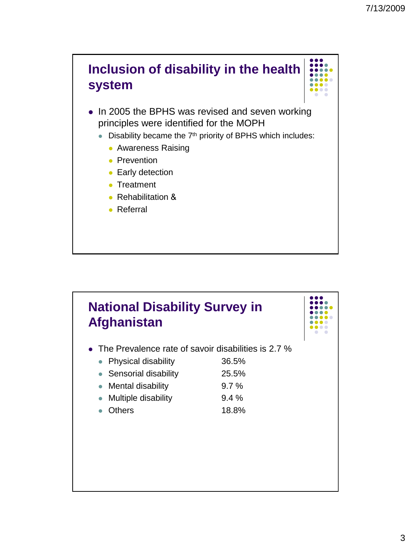



- In 2005 the BPHS was revised and seven working principles were identified for the MOPH
	- $\bullet$  Disability became the  $7<sup>th</sup>$  priority of BPHS which includes:
		- **Awareness Raising**
		- Prevention
		- **Early detection**
		- Treatment
		- Rehabilitation &
		- Referral

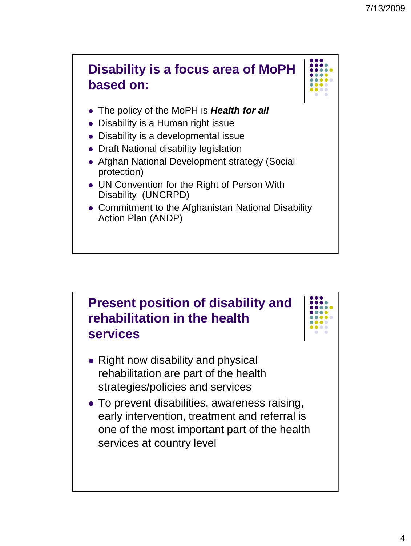

- The policy of the MoPH is *Health for all*
- Disability is a Human right issue
- Disability is a developmental issue
- Draft National disability legislation
- Afghan National Development strategy (Social protection)
- UN Convention for the Right of Person With Disability (UNCRPD)
- Commitment to the Afghanistan National Disability Action Plan (ANDP)

## **Present position of disability and rehabilitation in the health services**

- Right now disability and physical rehabilitation are part of the health strategies/policies and services
- To prevent disabilities, awareness raising, early intervention, treatment and referral is one of the most important part of the health services at country level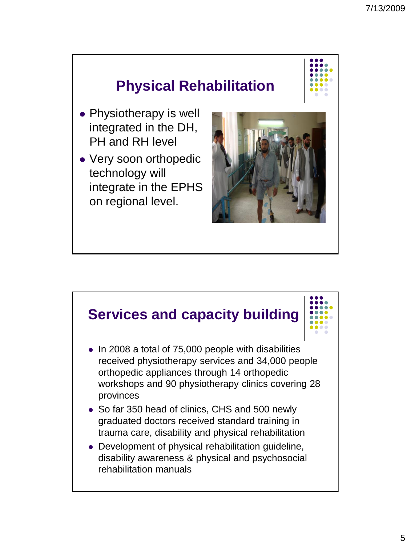## **Physical Rehabilitation**

- Physiotherapy is well integrated in the DH, PH and RH level
- Very soon orthopedic technology will integrate in the EPHS on regional level.



## **Services and capacity building**

- In 2008 a total of 75,000 people with disabilities received physiotherapy services and 34,000 people orthopedic appliances through 14 orthopedic workshops and 90 physiotherapy clinics covering 28 provinces
- So far 350 head of clinics, CHS and 500 newly graduated doctors received standard training in trauma care, disability and physical rehabilitation
- Development of physical rehabilitation guideline, disability awareness & physical and psychosocial rehabilitation manuals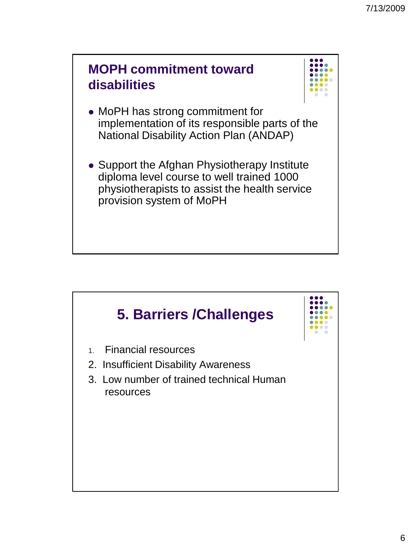



- MoPH has strong commitment for implementation of its responsible parts of the National Disability Action Plan (ANDAP)
- Support the Afghan Physiotherapy Institute diploma level course to well trained 1000 physiotherapists to assist the health service provision system of MoPH